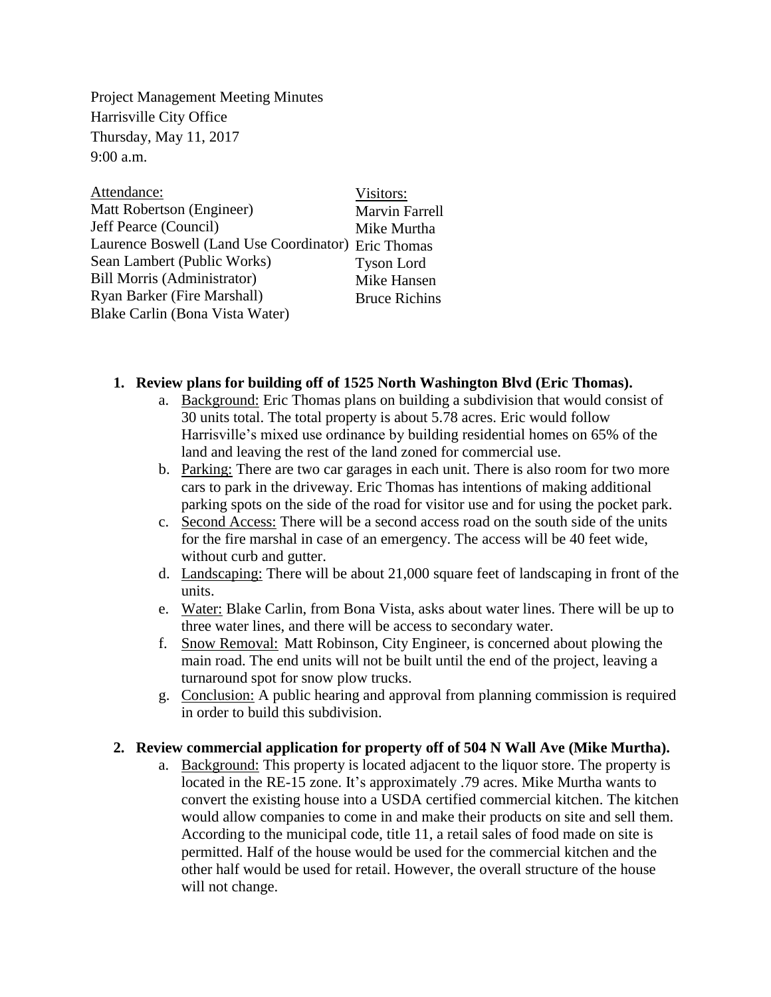Project Management Meeting Minutes Harrisville City Office Thursday, May 11, 2017 9:00 a.m.

| Attendance:                                         | Visitors:             |
|-----------------------------------------------------|-----------------------|
| Matt Robertson (Engineer)                           | <b>Marvin Farrell</b> |
| Jeff Pearce (Council)                               | Mike Murtha           |
| Laurence Boswell (Land Use Coordinator) Eric Thomas |                       |
| Sean Lambert (Public Works)                         | <b>Tyson Lord</b>     |
| <b>Bill Morris (Administrator)</b>                  | Mike Hansen           |
| Ryan Barker (Fire Marshall)                         | <b>Bruce Richins</b>  |
| Blake Carlin (Bona Vista Water)                     |                       |

## **1. Review plans for building off of 1525 North Washington Blvd (Eric Thomas).**

- a. Background: Eric Thomas plans on building a subdivision that would consist of 30 units total. The total property is about 5.78 acres. Eric would follow Harrisville's mixed use ordinance by building residential homes on 65% of the land and leaving the rest of the land zoned for commercial use.
- b. Parking: There are two car garages in each unit. There is also room for two more cars to park in the driveway. Eric Thomas has intentions of making additional parking spots on the side of the road for visitor use and for using the pocket park.
- c. Second Access: There will be a second access road on the south side of the units for the fire marshal in case of an emergency. The access will be 40 feet wide, without curb and gutter.
- d. Landscaping: There will be about 21,000 square feet of landscaping in front of the units.
- e. Water: Blake Carlin, from Bona Vista, asks about water lines. There will be up to three water lines, and there will be access to secondary water.
- f. Snow Removal: Matt Robinson, City Engineer, is concerned about plowing the main road. The end units will not be built until the end of the project, leaving a turnaround spot for snow plow trucks.
- g. Conclusion: A public hearing and approval from planning commission is required in order to build this subdivision.

## **2. Review commercial application for property off of 504 N Wall Ave (Mike Murtha).**

a. Background: This property is located adjacent to the liquor store. The property is located in the RE-15 zone. It's approximately .79 acres. Mike Murtha wants to convert the existing house into a USDA certified commercial kitchen. The kitchen would allow companies to come in and make their products on site and sell them. According to the municipal code, title 11, a retail sales of food made on site is permitted. Half of the house would be used for the commercial kitchen and the other half would be used for retail. However, the overall structure of the house will not change.